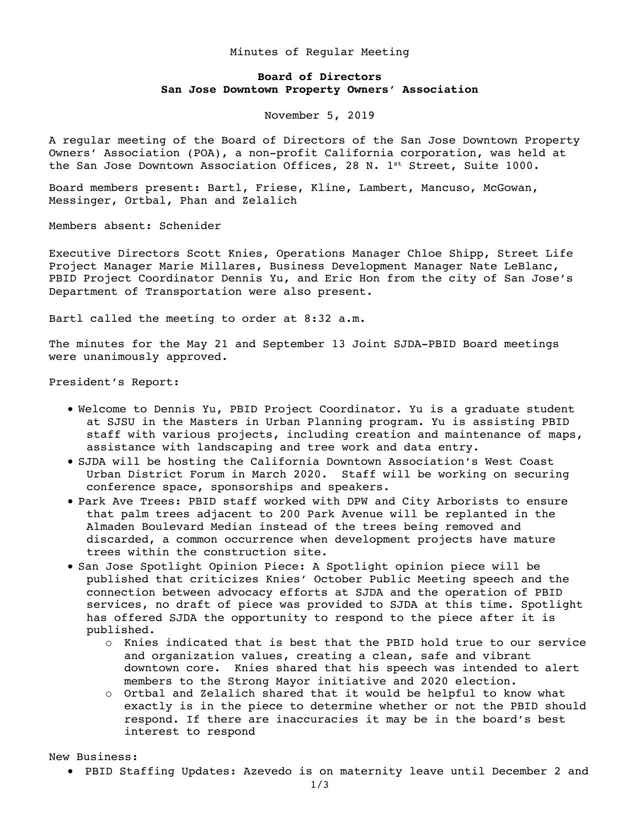## Minutes of Regular Meeting

## **Board of Directors San Jose Downtown Property Owners' Association**

November 5, 2019

A regular meeting of the Board of Directors of the San Jose Downtown Property Owners' Association (POA), a non-profit California corporation, was held at the San Jose Downtown Association Offices, 28 N.  $1^{st}$  Street, Suite 1000.

Board members present: Bartl, Friese, Kline, Lambert, Mancuso, McGowan, Messinger, Ortbal, Phan and Zelalich

Members absent: Schenider

Executive Directors Scott Knies, Operations Manager Chloe Shipp, Street Life Project Manager Marie Millares, Business Development Manager Nate LeBlanc, PBID Project Coordinator Dennis Yu, and Eric Hon from the city of San Jose's Department of Transportation were also present.

Bartl called the meeting to order at 8:32 a.m.

The minutes for the May 21 and September 13 Joint SJDA-PBID Board meetings were unanimously approved.

President's Report:

- Welcome to Dennis Yu, PBID Project Coordinator. Yu is a graduate student at SJSU in the Masters in Urban Planning program. Yu is assisting PBID staff with various projects, including creation and maintenance of maps, assistance with landscaping and tree work and data entry.
- SJDA will be hosting the California Downtown Association's West Coast Urban District Forum in March 2020. Staff will be working on securing conference space, sponsorships and speakers.
- Park Ave Trees: PBID staff worked with DPW and City Arborists to ensure that palm trees adjacent to 200 Park Avenue will be replanted in the Almaden Boulevard Median instead of the trees being removed and discarded, a common occurrence when development projects have mature trees within the construction site.
- San Jose Spotlight Opinion Piece: A Spotlight opinion piece will be published that criticizes Knies' October Public Meeting speech and the connection between advocacy efforts at SJDA and the operation of PBID services, no draft of piece was provided to SJDA at this time. Spotlight has offered SJDA the opportunity to respond to the piece after it is published.
	- o Knies indicated that is best that the PBID hold true to our service and organization values, creating a clean, safe and vibrant downtown core. Knies shared that his speech was intended to alert members to the Strong Mayor initiative and 2020 election.
	- o Ortbal and Zelalich shared that it would be helpful to know what exactly is in the piece to determine whether or not the PBID should respond. If there are inaccuracies it may be in the board's best interest to respond

New Business:

• PBID Staffing Updates: Azevedo is on maternity leave until December 2 and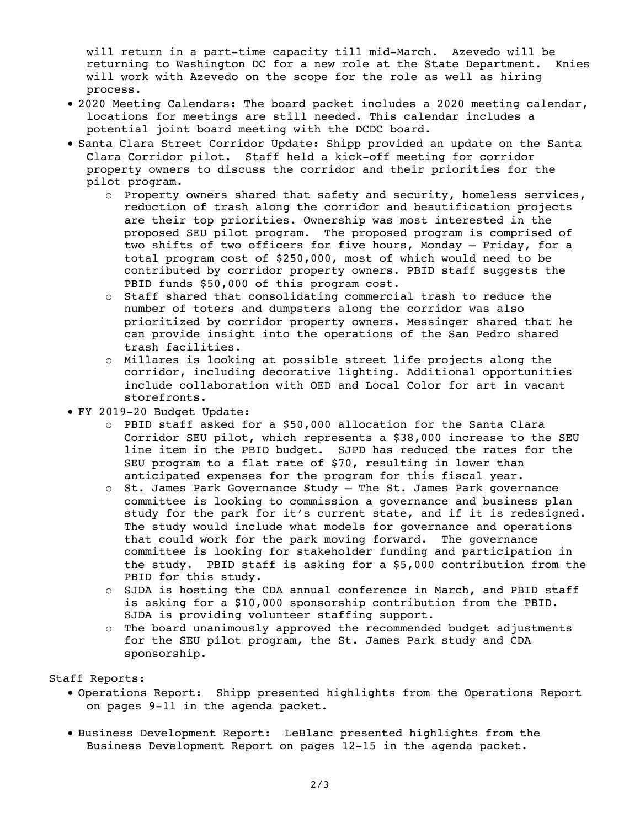will return in a part-time capacity till mid-March. Azevedo will be returning to Washington DC for a new role at the State Department. Knies will work with Azevedo on the scope for the role as well as hiring process.

- 2020 Meeting Calendars: The board packet includes a 2020 meeting calendar, locations for meetings are still needed. This calendar includes a potential joint board meeting with the DCDC board.
- Santa Clara Street Corridor Update: Shipp provided an update on the Santa Clara Corridor pilot. Staff held a kick-off meeting for corridor property owners to discuss the corridor and their priorities for the pilot program.
	- o Property owners shared that safety and security, homeless services, reduction of trash along the corridor and beautification projects are their top priorities. Ownership was most interested in the proposed SEU pilot program. The proposed program is comprised of two shifts of two officers for five hours, Monday – Friday, for a total program cost of \$250,000, most of which would need to be contributed by corridor property owners. PBID staff suggests the PBID funds \$50,000 of this program cost.
	- o Staff shared that consolidating commercial trash to reduce the number of toters and dumpsters along the corridor was also prioritized by corridor property owners. Messinger shared that he can provide insight into the operations of the San Pedro shared trash facilities.
	- o Millares is looking at possible street life projects along the corridor, including decorative lighting. Additional opportunities include collaboration with OED and Local Color for art in vacant storefronts.
- FY 2019-20 Budget Update:
	- o PBID staff asked for a \$50,000 allocation for the Santa Clara Corridor SEU pilot, which represents a \$38,000 increase to the SEU line item in the PBID budget. SJPD has reduced the rates for the SEU program to a flat rate of \$70, resulting in lower than anticipated expenses for the program for this fiscal year.
	- o St. James Park Governance Study The St. James Park governance committee is looking to commission a governance and business plan study for the park for it's current state, and if it is redesigned. The study would include what models for governance and operations that could work for the park moving forward. The governance committee is looking for stakeholder funding and participation in the study. PBID staff is asking for a \$5,000 contribution from the PBID for this study.
	- o SJDA is hosting the CDA annual conference in March, and PBID staff is asking for a \$10,000 sponsorship contribution from the PBID. SJDA is providing volunteer staffing support.
	- o The board unanimously approved the recommended budget adjustments for the SEU pilot program, the St. James Park study and CDA sponsorship.

## Staff Reports:

- Operations Report: Shipp presented highlights from the Operations Report on pages 9-11 in the agenda packet.
- Business Development Report: LeBlanc presented highlights from the Business Development Report on pages 12-15 in the agenda packet.